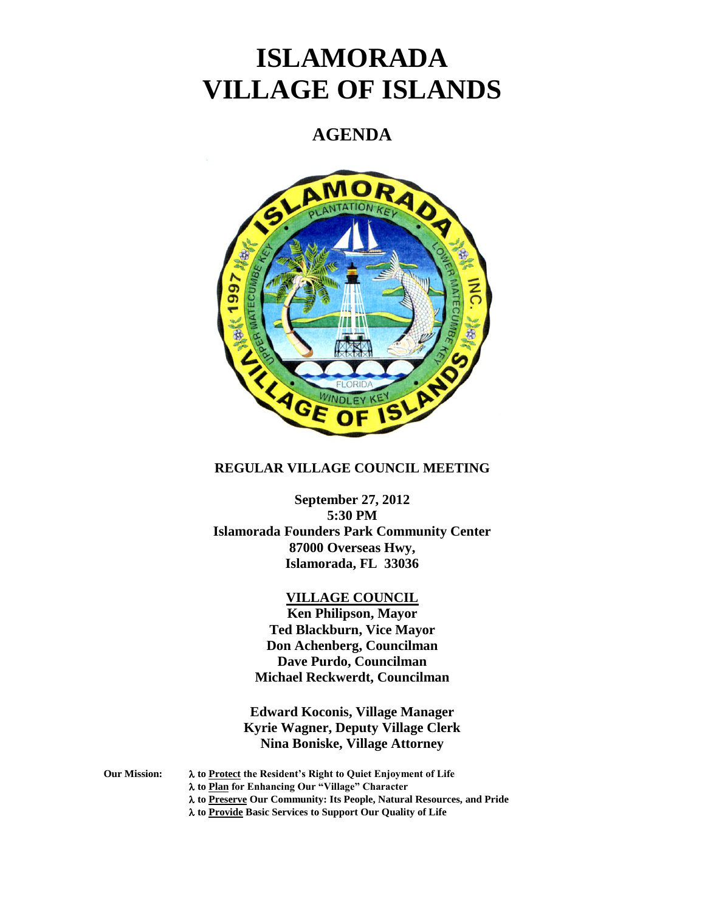# **ISLAMORADA VILLAGE OF ISLANDS**

# **AGENDA**



#### **REGULAR VILLAGE COUNCIL MEETING**

**September 27, 2012 5:30 PM Islamorada Founders Park Community Center 87000 Overseas Hwy, Islamorada, FL 33036**

#### **VILLAGE COUNCIL**

**Ken Philipson, Mayor Ted Blackburn, Vice Mayor Don Achenberg, Councilman Dave Purdo, Councilman Michael Reckwerdt, Councilman**

**Edward Koconis, Village Manager Kyrie Wagner, Deputy Village Clerk Nina Boniske, Village Attorney**

**Our Mission: to Protect the Resident's Right to Quiet Enjoyment of Life**

- **to Plan for Enhancing Our "Village" Character**
- **to Preserve Our Community: Its People, Natural Resources, and Pride**

**to Provide Basic Services to Support Our Quality of Life**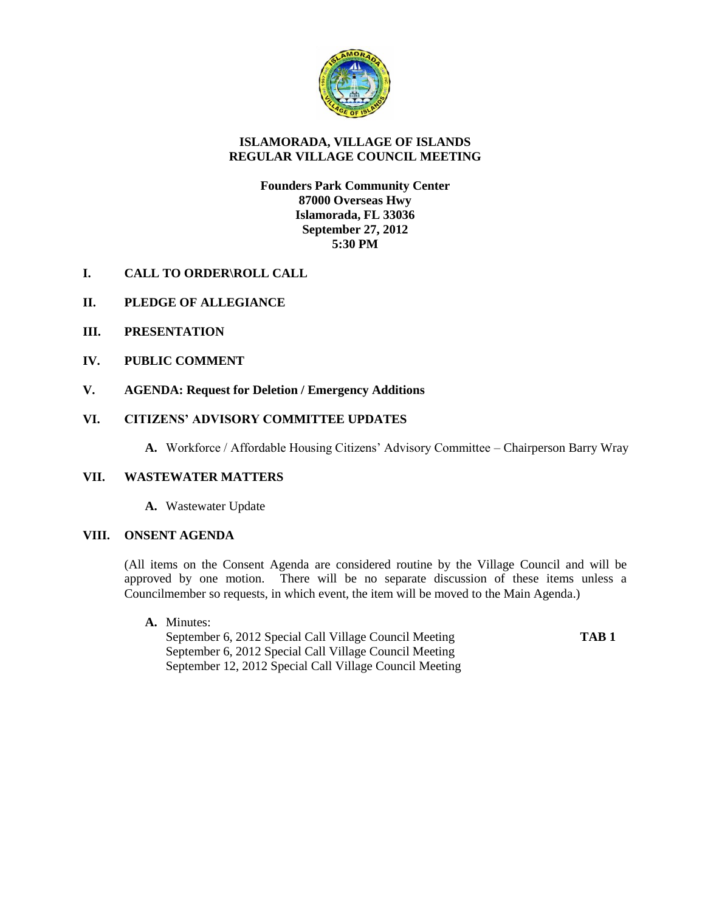

## **ISLAMORADA, VILLAGE OF ISLANDS REGULAR VILLAGE COUNCIL MEETING**

#### **Founders Park Community Center 87000 Overseas Hwy Islamorada, FL 33036 September 27, 2012 5:30 PM**

- **I. CALL TO ORDER\ROLL CALL**
- **II. PLEDGE OF ALLEGIANCE**
- **III. PRESENTATION**
- **IV. PUBLIC COMMENT**
- **V. AGENDA: Request for Deletion / Emergency Additions**

### **VI. CITIZENS' ADVISORY COMMITTEE UPDATES**

**A.** Workforce / Affordable Housing Citizens' Advisory Committee – Chairperson Barry Wray

#### **VII. WASTEWATER MATTERS**

**A.** Wastewater Update

## **VIII. ONSENT AGENDA**

(All items on the Consent Agenda are considered routine by the Village Council and will be approved by one motion. There will be no separate discussion of these items unless a Councilmember so requests, in which event, the item will be moved to the Main Agenda.)

**A.** Minutes:

September 6, 2012 Special Call Village Council Meeting **TAB 1** September 6, 2012 Special Call Village Council Meeting September 12, 2012 Special Call Village Council Meeting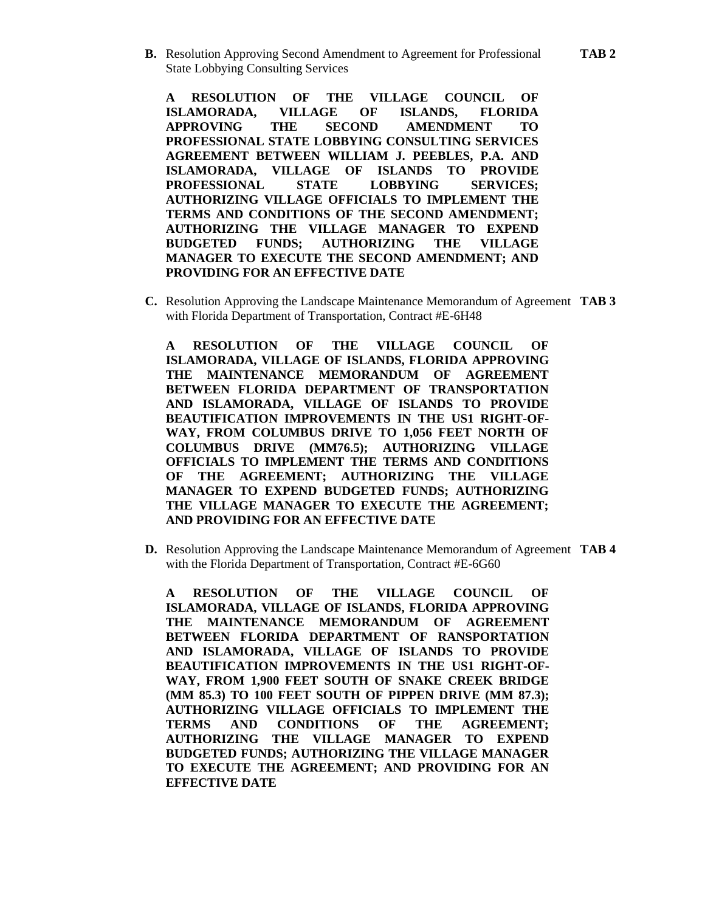**B.** Resolution Approving Second Amendment to Agreement for Professional **TAB 2**  State Lobbying Consulting Services

**A RESOLUTION OF THE VILLAGE COUNCIL OF ISLAMORADA, VILLAGE OF ISLANDS, FLORIDA APPROVING THE SECOND AMENDMENT TO PROFESSIONAL STATE LOBBYING CONSULTING SERVICES AGREEMENT BETWEEN WILLIAM J. PEEBLES, P.A. AND ISLAMORADA, VILLAGE OF ISLANDS TO PROVIDE PROFESSIONAL STATE LOBBYING SERVICES; AUTHORIZING VILLAGE OFFICIALS TO IMPLEMENT THE TERMS AND CONDITIONS OF THE SECOND AMENDMENT; AUTHORIZING THE VILLAGE MANAGER TO EXPEND BUDGETED FUNDS; AUTHORIZING THE VILLAGE MANAGER TO EXECUTE THE SECOND AMENDMENT; AND PROVIDING FOR AN EFFECTIVE DATE**

**C.** Resolution Approving the Landscape Maintenance Memorandum of Agreement **TAB 3** with Florida Department of Transportation, Contract #E-6H48

**A RESOLUTION OF THE VILLAGE COUNCIL OF ISLAMORADA, VILLAGE OF ISLANDS, FLORIDA APPROVING THE MAINTENANCE MEMORANDUM OF AGREEMENT BETWEEN FLORIDA DEPARTMENT OF TRANSPORTATION AND ISLAMORADA, VILLAGE OF ISLANDS TO PROVIDE BEAUTIFICATION IMPROVEMENTS IN THE US1 RIGHT-OF-WAY, FROM COLUMBUS DRIVE TO 1,056 FEET NORTH OF COLUMBUS DRIVE (MM76.5); AUTHORIZING VILLAGE OFFICIALS TO IMPLEMENT THE TERMS AND CONDITIONS OF THE AGREEMENT; AUTHORIZING THE VILLAGE MANAGER TO EXPEND BUDGETED FUNDS; AUTHORIZING THE VILLAGE MANAGER TO EXECUTE THE AGREEMENT; AND PROVIDING FOR AN EFFECTIVE DATE**

**D.** Resolution Approving the Landscape Maintenance Memorandum of Agreement **TAB 4** with the Florida Department of Transportation, Contract #E-6G60

**A RESOLUTION OF THE VILLAGE COUNCIL OF ISLAMORADA, VILLAGE OF ISLANDS, FLORIDA APPROVING THE MAINTENANCE MEMORANDUM OF AGREEMENT BETWEEN FLORIDA DEPARTMENT OF RANSPORTATION AND ISLAMORADA, VILLAGE OF ISLANDS TO PROVIDE BEAUTIFICATION IMPROVEMENTS IN THE US1 RIGHT-OF-WAY, FROM 1,900 FEET SOUTH OF SNAKE CREEK BRIDGE (MM 85.3) TO 100 FEET SOUTH OF PIPPEN DRIVE (MM 87.3); AUTHORIZING VILLAGE OFFICIALS TO IMPLEMENT THE TERMS AND CONDITIONS OF THE AGREEMENT; AUTHORIZING THE VILLAGE MANAGER TO EXPEND BUDGETED FUNDS; AUTHORIZING THE VILLAGE MANAGER TO EXECUTE THE AGREEMENT; AND PROVIDING FOR AN EFFECTIVE DATE**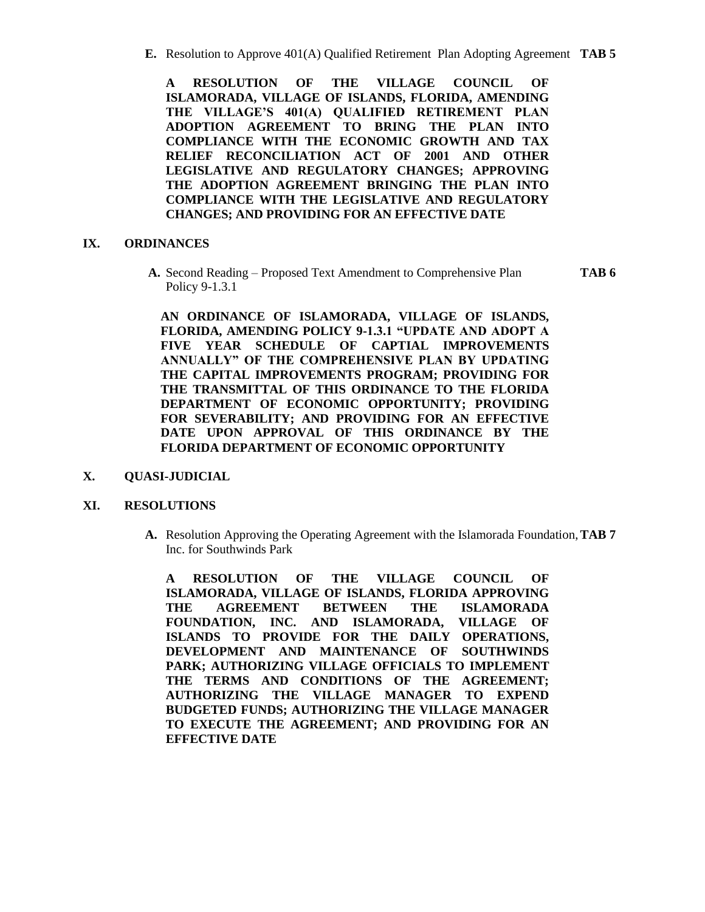**E.** Resolution to Approve 401(A) Qualified Retirement Plan Adopting Agreement **TAB 5**

**A RESOLUTION OF THE VILLAGE COUNCIL OF ISLAMORADA, VILLAGE OF ISLANDS, FLORIDA, AMENDING THE VILLAGE'S 401(A) QUALIFIED RETIREMENT PLAN ADOPTION AGREEMENT TO BRING THE PLAN INTO COMPLIANCE WITH THE ECONOMIC GROWTH AND TAX RELIEF RECONCILIATION ACT OF 2001 AND OTHER LEGISLATIVE AND REGULATORY CHANGES; APPROVING THE ADOPTION AGREEMENT BRINGING THE PLAN INTO COMPLIANCE WITH THE LEGISLATIVE AND REGULATORY CHANGES; AND PROVIDING FOR AN EFFECTIVE DATE**

#### **IX. ORDINANCES**

**A.** Second Reading – Proposed Text Amendment to Comprehensive Plan **TAB 6** Policy 9-1.3.1

**AN ORDINANCE OF ISLAMORADA, VILLAGE OF ISLANDS, FLORIDA, AMENDING POLICY 9-1.3.1 "UPDATE AND ADOPT A FIVE YEAR SCHEDULE OF CAPTIAL IMPROVEMENTS ANNUALLY" OF THE COMPREHENSIVE PLAN BY UPDATING THE CAPITAL IMPROVEMENTS PROGRAM; PROVIDING FOR THE TRANSMITTAL OF THIS ORDINANCE TO THE FLORIDA DEPARTMENT OF ECONOMIC OPPORTUNITY; PROVIDING FOR SEVERABILITY; AND PROVIDING FOR AN EFFECTIVE DATE UPON APPROVAL OF THIS ORDINANCE BY THE FLORIDA DEPARTMENT OF ECONOMIC OPPORTUNITY**

**X. QUASI-JUDICIAL**

#### **XI. RESOLUTIONS**

**A.** Resolution Approving the Operating Agreement with the Islamorada Foundation,**TAB 7** Inc. for Southwinds Park

**A RESOLUTION OF THE VILLAGE COUNCIL OF ISLAMORADA, VILLAGE OF ISLANDS, FLORIDA APPROVING THE AGREEMENT BETWEEN THE ISLAMORADA FOUNDATION, INC. AND ISLAMORADA, VILLAGE OF ISLANDS TO PROVIDE FOR THE DAILY OPERATIONS, DEVELOPMENT AND MAINTENANCE OF SOUTHWINDS PARK; AUTHORIZING VILLAGE OFFICIALS TO IMPLEMENT THE TERMS AND CONDITIONS OF THE AGREEMENT; AUTHORIZING THE VILLAGE MANAGER TO EXPEND BUDGETED FUNDS; AUTHORIZING THE VILLAGE MANAGER TO EXECUTE THE AGREEMENT; AND PROVIDING FOR AN EFFECTIVE DATE**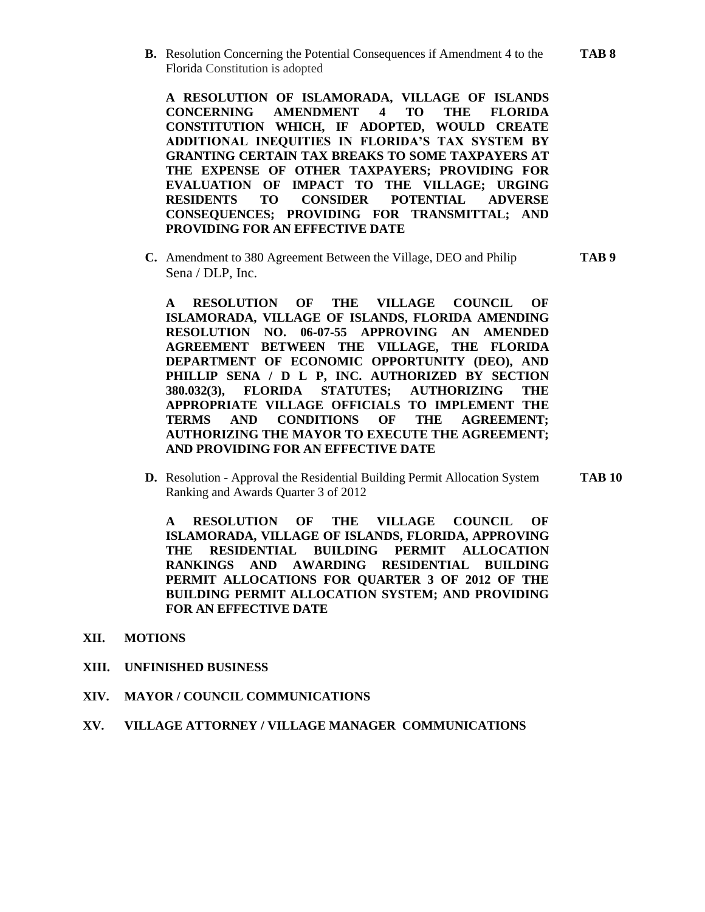**B.** Resolution Concerning the Potential Consequences if Amendment 4 to the **TAB 8** Florida Constitution is adopted

**A RESOLUTION OF ISLAMORADA, VILLAGE OF ISLANDS CONCERNING AMENDMENT 4 TO THE FLORIDA CONSTITUTION WHICH, IF ADOPTED, WOULD CREATE ADDITIONAL INEQUITIES IN FLORIDA'S TAX SYSTEM BY GRANTING CERTAIN TAX BREAKS TO SOME TAXPAYERS AT THE EXPENSE OF OTHER TAXPAYERS; PROVIDING FOR EVALUATION OF IMPACT TO THE VILLAGE; URGING RESIDENTS TO CONSIDER POTENTIAL ADVERSE CONSEQUENCES; PROVIDING FOR TRANSMITTAL; AND PROVIDING FOR AN EFFECTIVE DATE**

**C.** Amendment to 380 Agreement Between the Village, DEO and Philip **TAB 9** Sena / DLP, Inc.

**A RESOLUTION OF THE VILLAGE COUNCIL OF ISLAMORADA, VILLAGE OF ISLANDS, FLORIDA AMENDING RESOLUTION NO. 06-07-55 APPROVING AN AMENDED AGREEMENT BETWEEN THE VILLAGE, THE FLORIDA DEPARTMENT OF ECONOMIC OPPORTUNITY (DEO), AND PHILLIP SENA / D L P, INC. AUTHORIZED BY SECTION 380.032(3), FLORIDA STATUTES; AUTHORIZING THE APPROPRIATE VILLAGE OFFICIALS TO IMPLEMENT THE TERMS AND CONDITIONS OF THE AGREEMENT; AUTHORIZING THE MAYOR TO EXECUTE THE AGREEMENT; AND PROVIDING FOR AN EFFECTIVE DATE**

**D.** Resolution - Approval the Residential Building Permit Allocation System **TAB 10** Ranking and Awards Quarter 3 of 2012

**A RESOLUTION OF THE VILLAGE COUNCIL OF ISLAMORADA, VILLAGE OF ISLANDS, FLORIDA, APPROVING THE RESIDENTIAL BUILDING PERMIT ALLOCATION RANKINGS AND AWARDING RESIDENTIAL BUILDING PERMIT ALLOCATIONS FOR QUARTER 3 OF 2012 OF THE BUILDING PERMIT ALLOCATION SYSTEM; AND PROVIDING FOR AN EFFECTIVE DATE**

- **XII. MOTIONS**
- **XIII. UNFINISHED BUSINESS**
- **XIV. MAYOR / COUNCIL COMMUNICATIONS**
- **XV. VILLAGE ATTORNEY / VILLAGE MANAGER COMMUNICATIONS**